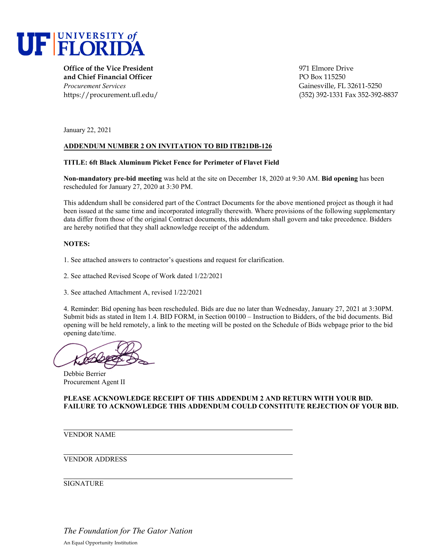

**Office of the Vice President and Chief Financial Officer** *Procurement Services* https://procurement.ufl.edu/ 971 Elmore Drive PO Box 115250 Gainesville, FL 32611-5250 (352) 392-1331 Fax 352-392-8837

January 22, 2021

#### **ADDENDUM NUMBER 2 ON INVITATION TO BID ITB21DB-126**

#### **TITLE: 6ft Black Aluminum Picket Fence for Perimeter of Flavet Field**

**Non-mandatory pre-bid meeting** was held at the site on December 18, 2020 at 9:30 AM. **Bid opening** has been rescheduled for January 27, 2020 at 3:30 PM.

This addendum shall be considered part of the Contract Documents for the above mentioned project as though it had been issued at the same time and incorporated integrally therewith. Where provisions of the following supplementary data differ from those of the original Contract documents, this addendum shall govern and take precedence. Bidders are hereby notified that they shall acknowledge receipt of the addendum.

#### **NOTES:**

1. See attached answers to contractor's questions and request for clarification.

2. See attached Revised Scope of Work dated 1/22/2021

3. See attached Attachment A, revised 1/22/2021

4. Reminder: Bid opening has been rescheduled. Bids are due no later than Wednesday, January 27, 2021 at 3:30PM. Submit bids as stated in Item 1.4. BID FORM, in Section 00100 – Instruction to Bidders, of the bid documents. Bid opening will be held remotely, a link to the meeting will be posted on the Schedule of Bids webpage prior to the bid opening date/time.

Debbie Berrier Procurement Agent II

**PLEASE ACKNOWLEDGE RECEIPT OF THIS ADDENDUM 2 AND RETURN WITH YOUR BID. FAILURE TO ACKNOWLEDGE THIS ADDENDUM COULD CONSTITUTE REJECTION OF YOUR BID.**

VENDOR NAME

VENDOR ADDRESS

**SIGNATURE**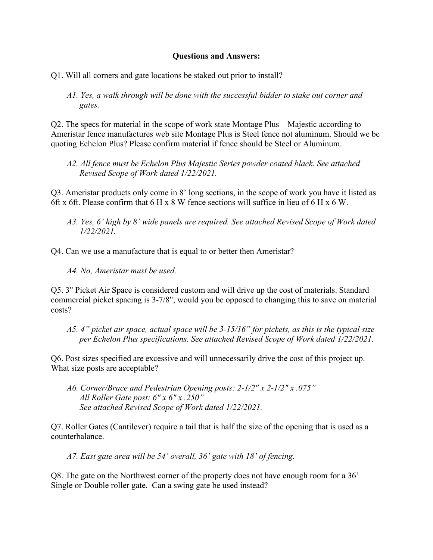## **Questions and Answers:**

Q1. Will all corners and gate locations be staked out prior to install?

*A1. Yes, a walk through will be done with the successful bidder to stake out corner and gates.* 

Q2. The specs for material in the scope of work state Montage Plus – Majestic according to Ameristar fence manufactures web site Montage Plus is Steel fence not aluminum. Should we be quoting Echelon Plus? Please confirm material if fence should be Steel or Aluminum.

*A2. All fence must be Echelon Plus Majestic Series powder coated black. See attached Revised Scope of Work dated 1/22/2021.* 

Q3. Ameristar products only come in 8' long sections, in the scope of work you have it listed as 6ft x 6ft. Please confirm that 6 H x 8 W fence sections will suffice in lieu of 6 H x 6 W.

*A3. Yes, 6' high by 8' wide panels are required. See attached Revised Scope of Work dated 1/22/2021.* 

Q4. Can we use a manufacture that is equal to or better then Ameristar?

*A4. No, Ameristar must be used.* 

Q5. 3" Picket Air Space is considered custom and will drive up the cost of materials. Standard commercial picket spacing is 3-7/8", would you be opposed to changing this to save on material costs?

*A5. 4" picket air space, actual space will be 3-15/16" for pickets, as this is the typical size per Echelon Plus specifications. See attached Revised Scope of Work dated 1/22/2021.* 

Q6. Post sizes specified are excessive and will unnecessarily drive the cost of this project up. What size posts are acceptable?

*A6. Corner/Brace and Pedestrian Opening posts: 2-1/2" x 2-1/2" x .075" All Roller Gate post: 6" x 6" x .250" See attached Revised Scope of Work dated 1/22/2021.* 

Q7. Roller Gates (Cantilever) require a tail that is half the size of the opening that is used as a counterbalance.

*A7. East gate area will be 54' overall, 36' gate with 18' of fencing.* 

Q8. The gate on the Northwest corner of the property does not have enough room for a 36' Single or Double roller gate. Can a swing gate be used instead?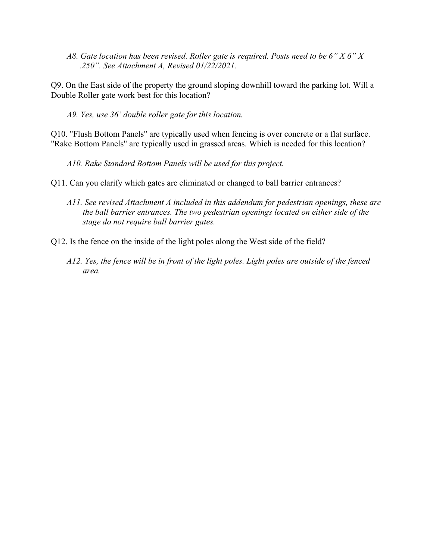*A8. Gate location has been revised. Roller gate is required. Posts need to be 6" X 6" X .250". See Attachment A, Revised 01/22/2021.* 

Q9. On the East side of the property the ground sloping downhill toward the parking lot. Will a Double Roller gate work best for this location?

*A9. Yes, use 36' double roller gate for this location.* 

Q10. "Flush Bottom Panels" are typically used when fencing is over concrete or a flat surface. "Rake Bottom Panels" are typically used in grassed areas. Which is needed for this location?

*A10. Rake Standard Bottom Panels will be used for this project.* 

Q11. Can you clarify which gates are eliminated or changed to ball barrier entrances?

- *A11. See revised Attachment A included in this addendum for pedestrian openings, these are the ball barrier entrances. The two pedestrian openings located on either side of the stage do not require ball barrier gates.*
- Q12. Is the fence on the inside of the light poles along the West side of the field?
	- *A12. Yes, the fence will be in front of the light poles. Light poles are outside of the fenced area.*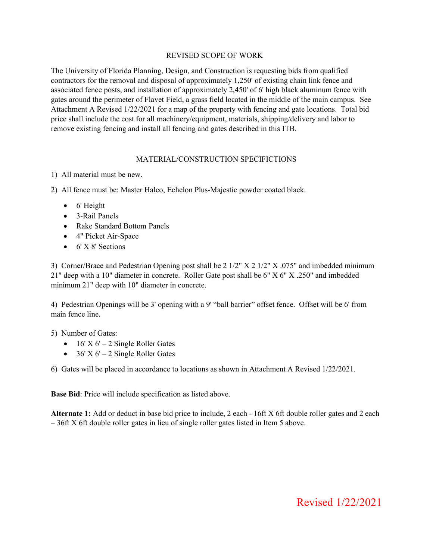#### REVISED SCOPE OF WORK

The University of Florida Planning, Design, and Construction is requesting bids from qualified contractors for the removal and disposal of approximately 1,250' of existing chain link fence and associated fence posts, and installation of approximately 2,450' of 6' high black aluminum fence with gates around the perimeter of Flavet Field, a grass field located in the middle of the main campus. See Attachment A Revised 1/22/2021 for a map of the property with fencing and gate locations. Total bid price shall include the cost for all machinery/equipment, materials, shipping/delivery and labor to remove existing fencing and install all fencing and gates described in this ITB.

### MATERIAL/CONSTRUCTION SPECIFICTIONS

1) All material must be new.

2) All fence must be: Master Halco, Echelon Plus-Majestic powder coated black.

- 6' Height
- 3-Rail Panels
- Rake Standard Bottom Panels
- 4" Picket Air-Space
- 6' X 8' Sections

3) Corner/Brace and Pedestrian Opening post shall be 2 1/2" X 2 1/2" X .075" and imbedded minimum 21" deep with a 10" diameter in concrete. Roller Gate post shall be 6" X 6" X .250" and imbedded minimum 21" deep with 10" diameter in concrete.

4) Pedestrian Openings will be 3' opening with a 9' "ball barrier" offset fence. Offset will be 6' from main fence line.

#### 5) Number of Gates:

- 16' X 6' 2 Single Roller Gates
- 36' X 6' 2 Single Roller Gates

6) Gates will be placed in accordance to locations as shown in Attachment A Revised 1/22/2021.

**Base Bid**: Price will include specification as listed above.

**Alternate 1:** Add or deduct in base bid price to include, 2 each - 16ft X 6ft double roller gates and 2 each – 36ft X 6ft double roller gates in lieu of single roller gates listed in Item 5 above.

# Revised 1/22/2021